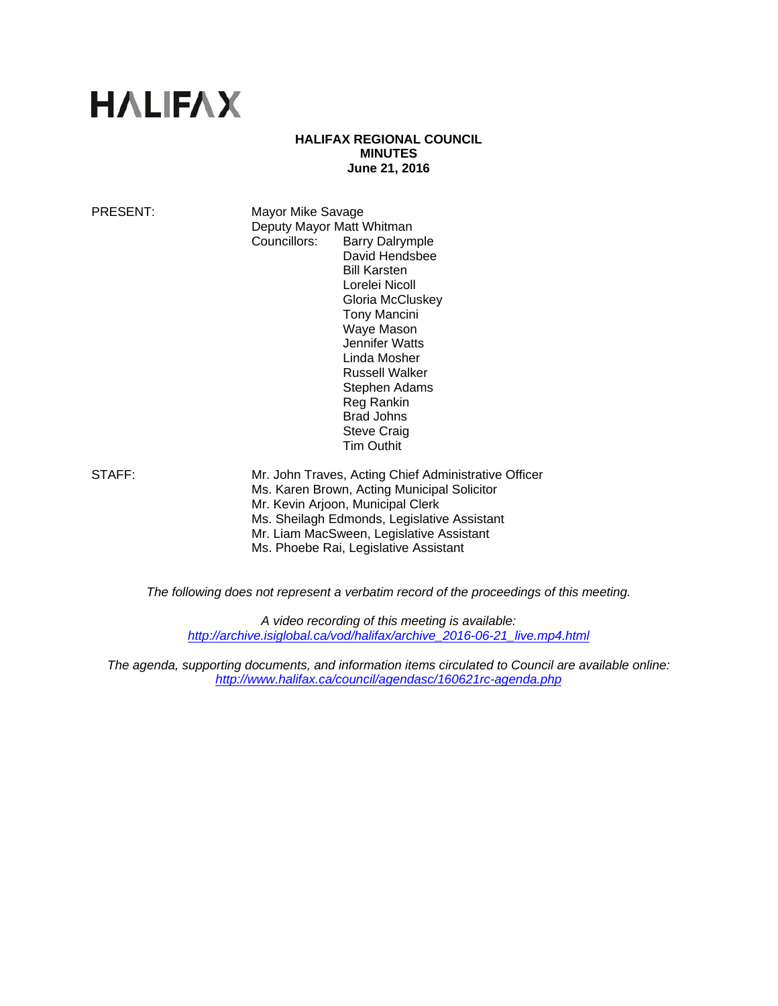# **HALIFAX**

## **HALIFAX REGIONAL COUNCIL MINUTES June 21, 2016**

PRESENT: Mayor Mike Savage Deputy Mayor Matt Whitman Councillors: Barry Dalrymple David Hendsbee Bill Karsten Lorelei Nicoll Gloria McCluskey Tony Mancini Waye Mason Jennifer Watts Linda Mosher Russell Walker Stephen Adams Reg Rankin Brad Johns Steve Craig Tim Outhit

STAFF: Mr. John Traves, Acting Chief Administrative Officer Ms. Karen Brown, Acting Municipal Solicitor Mr. Kevin Arjoon, Municipal Clerk Ms. Sheilagh Edmonds, Legislative Assistant Mr. Liam MacSween, Legislative Assistant Ms. Phoebe Rai, Legislative Assistant

*The following does not represent a verbatim record of the proceedings of this meeting.* 

*A video recording of this meeting is available: http://archive.isiglobal.ca/vod/halifax/archive\_2016-06-21\_live.mp4.html*

*The agenda, supporting documents, and information items circulated to Council are available online: http://www.halifax.ca/council/agendasc/160621rc-agenda.php*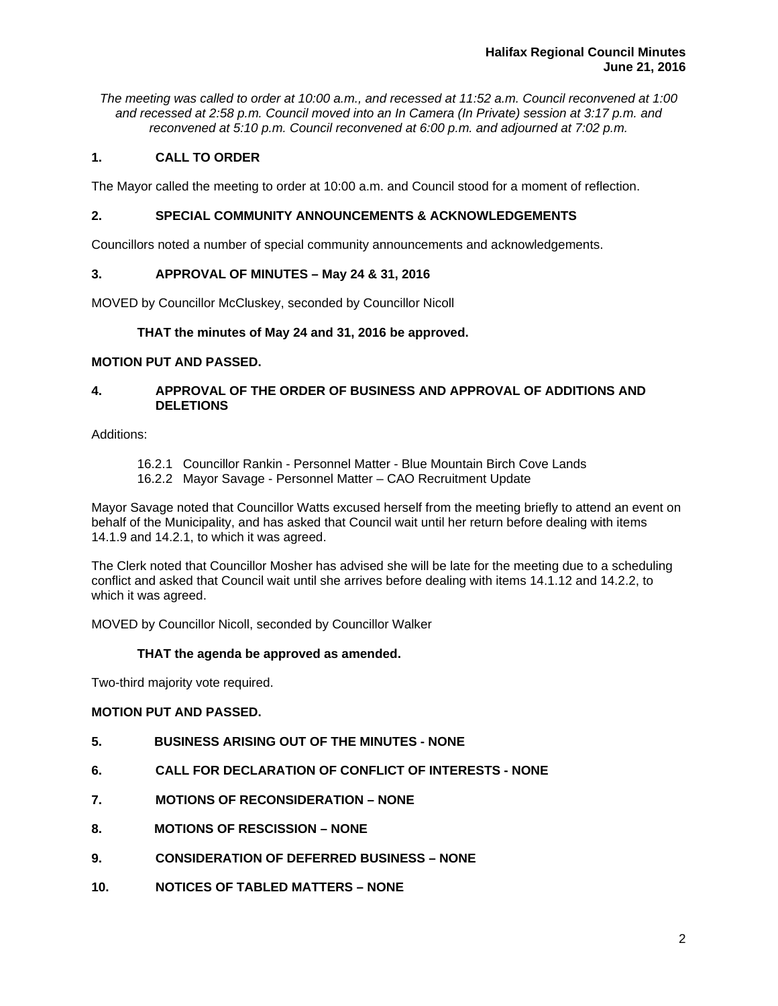*The meeting was called to order at 10:00 a.m., and recessed at 11:52 a.m. Council reconvened at 1:00 and recessed at 2:58 p.m. Council moved into an In Camera (In Private) session at 3:17 p.m. and reconvened at 5:10 p.m. Council reconvened at 6:00 p.m. and adjourned at 7:02 p.m.*

# **1. CALL TO ORDER**

The Mayor called the meeting to order at 10:00 a.m. and Council stood for a moment of reflection.

# **2. SPECIAL COMMUNITY ANNOUNCEMENTS & ACKNOWLEDGEMENTS**

Councillors noted a number of special community announcements and acknowledgements.

## **3. APPROVAL OF MINUTES – May 24 & 31, 2016**

MOVED by Councillor McCluskey, seconded by Councillor Nicoll

## **THAT the minutes of May 24 and 31, 2016 be approved.**

## **MOTION PUT AND PASSED.**

# **4. APPROVAL OF THE ORDER OF BUSINESS AND APPROVAL OF ADDITIONS AND DELETIONS**

Additions:

- 16.2.1 Councillor Rankin Personnel Matter Blue Mountain Birch Cove Lands
- 16.2.2 Mayor Savage Personnel Matter CAO Recruitment Update

Mayor Savage noted that Councillor Watts excused herself from the meeting briefly to attend an event on behalf of the Municipality, and has asked that Council wait until her return before dealing with items 14.1.9 and 14.2.1, to which it was agreed.

The Clerk noted that Councillor Mosher has advised she will be late for the meeting due to a scheduling conflict and asked that Council wait until she arrives before dealing with items 14.1.12 and 14.2.2, to which it was agreed.

MOVED by Councillor Nicoll, seconded by Councillor Walker

## **THAT the agenda be approved as amended.**

Two-third majority vote required.

# **MOTION PUT AND PASSED.**

- **5. BUSINESS ARISING OUT OF THE MINUTES NONE**
- **6. CALL FOR DECLARATION OF CONFLICT OF INTERESTS NONE**
- **7. MOTIONS OF RECONSIDERATION NONE**
- **8. MOTIONS OF RESCISSION NONE**
- **9. CONSIDERATION OF DEFERRED BUSINESS NONE**
- **10. NOTICES OF TABLED MATTERS NONE**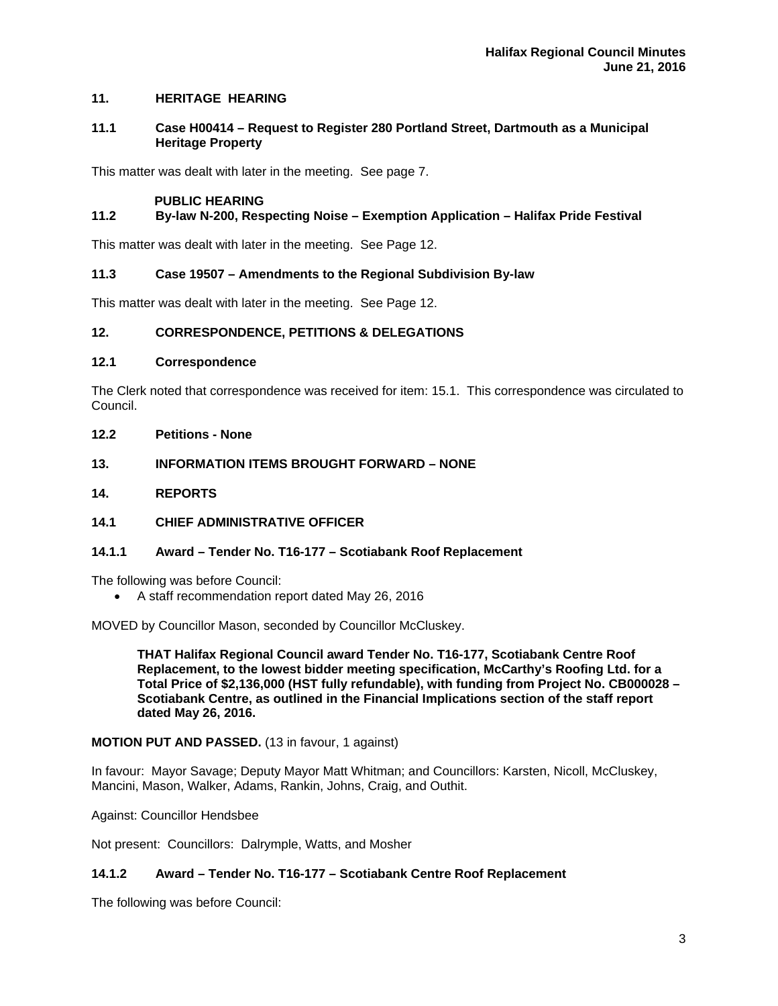## **11. HERITAGE HEARING**

## **11.1 Case H00414 – Request to Register 280 Portland Street, Dartmouth as a Municipal Heritage Property**

This matter was dealt with later in the meeting. See page 7.

## **PUBLIC HEARING**

# **11.2 By-law N-200, Respecting Noise – Exemption Application – Halifax Pride Festival**

This matter was dealt with later in the meeting. See Page 12.

## **11.3 Case 19507 – Amendments to the Regional Subdivision By-law**

This matter was dealt with later in the meeting. See Page 12.

## **12. CORRESPONDENCE, PETITIONS & DELEGATIONS**

## **12.1 Correspondence**

The Clerk noted that correspondence was received for item: 15.1. This correspondence was circulated to Council.

## **12.2 Petitions - None**

# **13. INFORMATION ITEMS BROUGHT FORWARD – NONE**

## **14. REPORTS**

# **14.1 CHIEF ADMINISTRATIVE OFFICER**

## **14.1.1 Award – Tender No. T16-177 – Scotiabank Roof Replacement**

The following was before Council:

A staff recommendation report dated May 26, 2016

MOVED by Councillor Mason, seconded by Councillor McCluskey.

**THAT Halifax Regional Council award Tender No. T16-177, Scotiabank Centre Roof Replacement, to the lowest bidder meeting specification, McCarthy's Roofing Ltd. for a Total Price of \$2,136,000 (HST fully refundable), with funding from Project No. CB000028 – Scotiabank Centre, as outlined in the Financial Implications section of the staff report dated May 26, 2016.**

## **MOTION PUT AND PASSED.** (13 in favour, 1 against)

In favour: Mayor Savage; Deputy Mayor Matt Whitman; and Councillors: Karsten, Nicoll, McCluskey, Mancini, Mason, Walker, Adams, Rankin, Johns, Craig, and Outhit.

Against: Councillor Hendsbee

Not present: Councillors: Dalrymple, Watts, and Mosher

# **14.1.2 Award – Tender No. T16-177 – Scotiabank Centre Roof Replacement**

The following was before Council: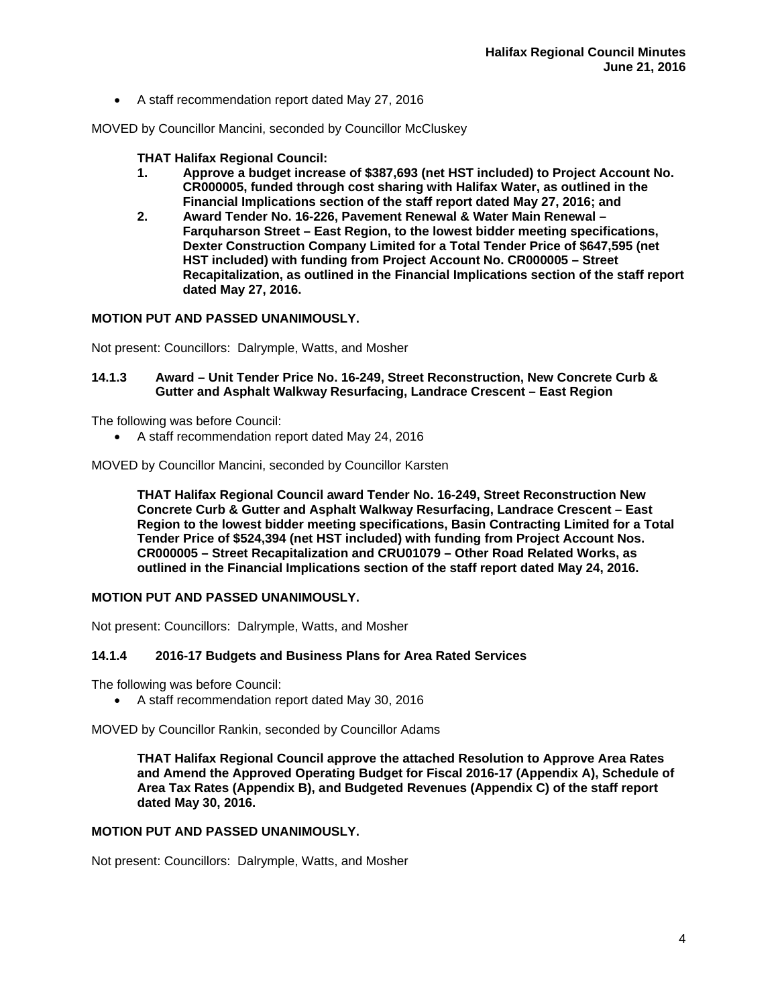A staff recommendation report dated May 27, 2016

MOVED by Councillor Mancini, seconded by Councillor McCluskey

## **THAT Halifax Regional Council:**

- **1. Approve a budget increase of \$387,693 (net HST included) to Project Account No. CR000005, funded through cost sharing with Halifax Water, as outlined in the Financial Implications section of the staff report dated May 27, 2016; and**
- **2. Award Tender No. 16-226, Pavement Renewal & Water Main Renewal Farquharson Street – East Region, to the lowest bidder meeting specifications, Dexter Construction Company Limited for a Total Tender Price of \$647,595 (net HST included) with funding from Project Account No. CR000005 – Street Recapitalization, as outlined in the Financial Implications section of the staff report dated May 27, 2016.**

## **MOTION PUT AND PASSED UNANIMOUSLY.**

Not present: Councillors: Dalrymple, Watts, and Mosher

## **14.1.3 Award – Unit Tender Price No. 16-249, Street Reconstruction, New Concrete Curb & Gutter and Asphalt Walkway Resurfacing, Landrace Crescent – East Region**

The following was before Council:

A staff recommendation report dated May 24, 2016

MOVED by Councillor Mancini, seconded by Councillor Karsten

**THAT Halifax Regional Council award Tender No. 16-249, Street Reconstruction New Concrete Curb & Gutter and Asphalt Walkway Resurfacing, Landrace Crescent – East Region to the lowest bidder meeting specifications, Basin Contracting Limited for a Total Tender Price of \$524,394 (net HST included) with funding from Project Account Nos. CR000005 – Street Recapitalization and CRU01079 – Other Road Related Works, as outlined in the Financial Implications section of the staff report dated May 24, 2016.** 

## **MOTION PUT AND PASSED UNANIMOUSLY.**

Not present: Councillors: Dalrymple, Watts, and Mosher

## **14.1.4 2016-17 Budgets and Business Plans for Area Rated Services**

The following was before Council:

A staff recommendation report dated May 30, 2016

MOVED by Councillor Rankin, seconded by Councillor Adams

**THAT Halifax Regional Council approve the attached Resolution to Approve Area Rates and Amend the Approved Operating Budget for Fiscal 2016-17 (Appendix A), Schedule of Area Tax Rates (Appendix B), and Budgeted Revenues (Appendix C) of the staff report dated May 30, 2016.** 

## **MOTION PUT AND PASSED UNANIMOUSLY.**

Not present: Councillors: Dalrymple, Watts, and Mosher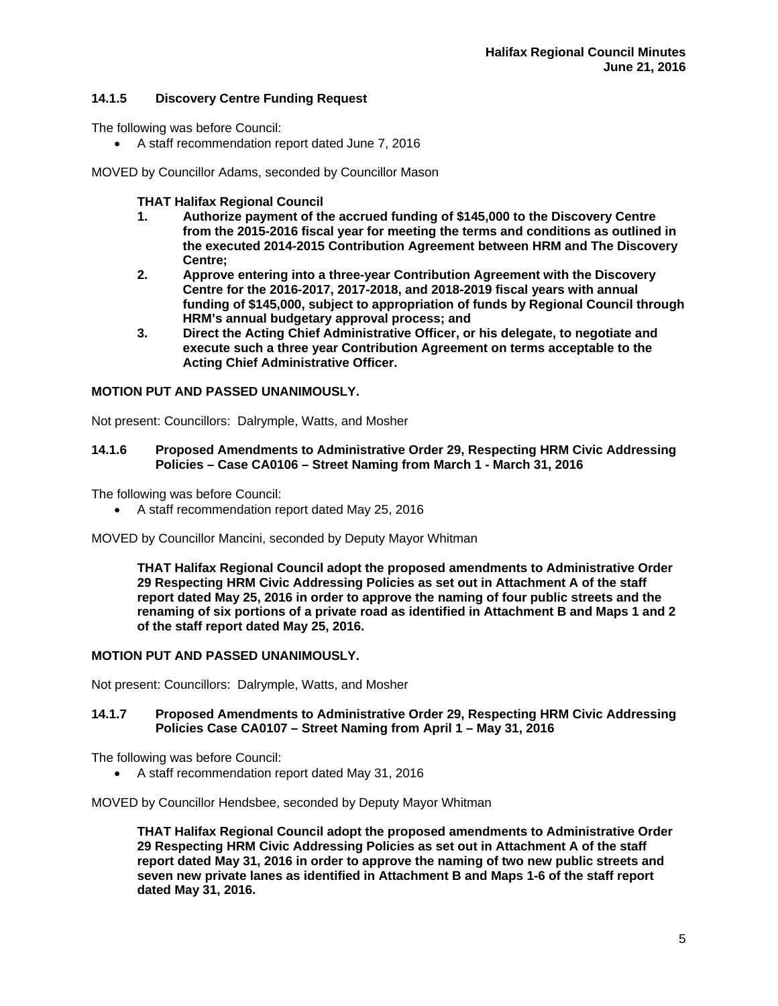# **14.1.5 Discovery Centre Funding Request**

The following was before Council:

A staff recommendation report dated June 7, 2016

MOVED by Councillor Adams, seconded by Councillor Mason

# **THAT Halifax Regional Council**

- **1. Authorize payment of the accrued funding of \$145,000 to the Discovery Centre from the 2015-2016 fiscal year for meeting the terms and conditions as outlined in the executed 2014-2015 Contribution Agreement between HRM and The Discovery Centre;<br>
2.** Approve
- **2. Approve entering into a three-year Contribution Agreement with the Discovery Centre for the 2016-2017, 2017-2018, and 2018-2019 fiscal years with annual funding of \$145,000, subject to appropriation of funds by Regional Council through HRM's annual budgetary approval process; and**
- **3. Direct the Acting Chief Administrative Officer, or his delegate, to negotiate and execute such a three year Contribution Agreement on terms acceptable to the Acting Chief Administrative Officer.**

## **MOTION PUT AND PASSED UNANIMOUSLY.**

Not present: Councillors: Dalrymple, Watts, and Mosher

## **14.1.6 Proposed Amendments to Administrative Order 29, Respecting HRM Civic Addressing Policies – Case CA0106 – Street Naming from March 1 - March 31, 2016**

The following was before Council:

A staff recommendation report dated May 25, 2016

MOVED by Councillor Mancini, seconded by Deputy Mayor Whitman

**THAT Halifax Regional Council adopt the proposed amendments to Administrative Order 29 Respecting HRM Civic Addressing Policies as set out in Attachment A of the staff report dated May 25, 2016 in order to approve the naming of four public streets and the renaming of six portions of a private road as identified in Attachment B and Maps 1 and 2 of the staff report dated May 25, 2016.** 

## **MOTION PUT AND PASSED UNANIMOUSLY.**

Not present: Councillors: Dalrymple, Watts, and Mosher

## **14.1.7 Proposed Amendments to Administrative Order 29, Respecting HRM Civic Addressing Policies Case CA0107 – Street Naming from April 1 – May 31, 2016**

The following was before Council:

A staff recommendation report dated May 31, 2016

MOVED by Councillor Hendsbee, seconded by Deputy Mayor Whitman

**THAT Halifax Regional Council adopt the proposed amendments to Administrative Order 29 Respecting HRM Civic Addressing Policies as set out in Attachment A of the staff report dated May 31, 2016 in order to approve the naming of two new public streets and seven new private lanes as identified in Attachment B and Maps 1-6 of the staff report dated May 31, 2016.**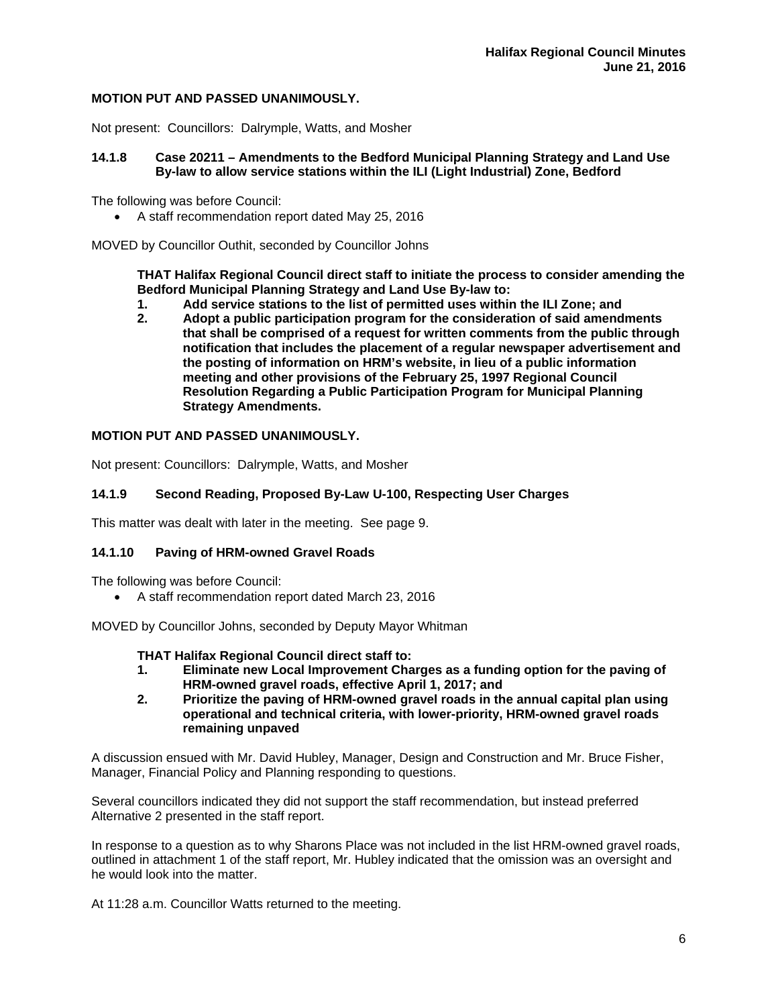## **MOTION PUT AND PASSED UNANIMOUSLY.**

Not present: Councillors: Dalrymple, Watts, and Mosher

## **14.1.8 Case 20211 – Amendments to the Bedford Municipal Planning Strategy and Land Use By-law to allow service stations within the ILI (Light Industrial) Zone, Bedford**

The following was before Council:

A staff recommendation report dated May 25, 2016

MOVED by Councillor Outhit, seconded by Councillor Johns

**THAT Halifax Regional Council direct staff to initiate the process to consider amending the Bedford Municipal Planning Strategy and Land Use By-law to:** 

- **1. Add service stations to the list of permitted uses within the ILI Zone; and**
- **2. Adopt a public participation program for the consideration of said amendments that shall be comprised of a request for written comments from the public through notification that includes the placement of a regular newspaper advertisement and the posting of information on HRM's website, in lieu of a public information meeting and other provisions of the February 25, 1997 Regional Council Resolution Regarding a Public Participation Program for Municipal Planning Strategy Amendments.**

## **MOTION PUT AND PASSED UNANIMOUSLY.**

Not present: Councillors: Dalrymple, Watts, and Mosher

#### **14.1.9 Second Reading, Proposed By-Law U-100, Respecting User Charges**

This matter was dealt with later in the meeting. See page 9.

## **14.1.10 Paving of HRM-owned Gravel Roads**

The following was before Council:

A staff recommendation report dated March 23, 2016

MOVED by Councillor Johns, seconded by Deputy Mayor Whitman

#### **THAT Halifax Regional Council direct staff to:**

- **1. Eliminate new Local Improvement Charges as a funding option for the paving of HRM-owned gravel roads, effective April 1, 2017; and**
- **2. Prioritize the paving of HRM-owned gravel roads in the annual capital plan using operational and technical criteria, with lower-priority, HRM-owned gravel roads remaining unpaved**

A discussion ensued with Mr. David Hubley, Manager, Design and Construction and Mr. Bruce Fisher, Manager, Financial Policy and Planning responding to questions.

Several councillors indicated they did not support the staff recommendation, but instead preferred Alternative 2 presented in the staff report.

In response to a question as to why Sharons Place was not included in the list HRM-owned gravel roads, outlined in attachment 1 of the staff report, Mr. Hubley indicated that the omission was an oversight and he would look into the matter.

At 11:28 a.m. Councillor Watts returned to the meeting.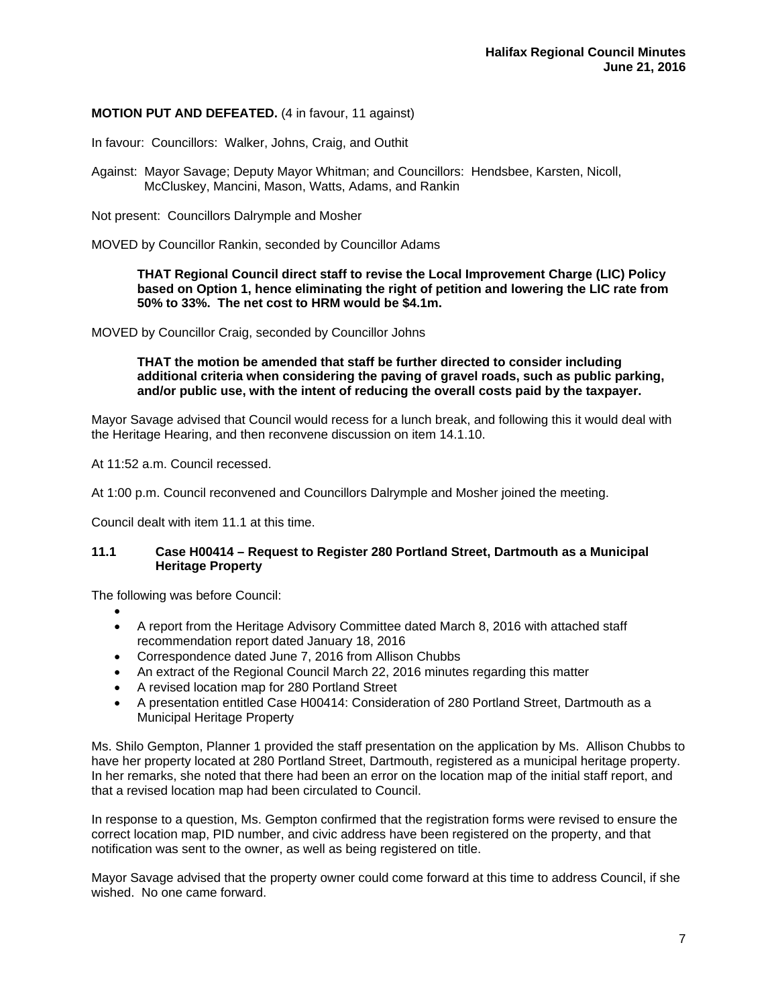## **MOTION PUT AND DEFEATED.** (4 in favour, 11 against)

In favour: Councillors: Walker, Johns, Craig, and Outhit

Against: Mayor Savage; Deputy Mayor Whitman; and Councillors: Hendsbee, Karsten, Nicoll, McCluskey, Mancini, Mason, Watts, Adams, and Rankin

Not present: Councillors Dalrymple and Mosher

MOVED by Councillor Rankin, seconded by Councillor Adams

**THAT Regional Council direct staff to revise the Local Improvement Charge (LIC) Policy based on Option 1, hence eliminating the right of petition and lowering the LIC rate from 50% to 33%. The net cost to HRM would be \$4.1m.** 

MOVED by Councillor Craig, seconded by Councillor Johns

**THAT the motion be amended that staff be further directed to consider including additional criteria when considering the paving of gravel roads, such as public parking, and/or public use, with the intent of reducing the overall costs paid by the taxpayer.** 

Mayor Savage advised that Council would recess for a lunch break, and following this it would deal with the Heritage Hearing, and then reconvene discussion on item 14.1.10.

At 11:52 a.m. Council recessed.

At 1:00 p.m. Council reconvened and Councillors Dalrymple and Mosher joined the meeting.

Council dealt with item 11.1 at this time.

## **11.1 Case H00414 – Request to Register 280 Portland Street, Dartmouth as a Municipal Heritage Property**

The following was before Council:

- $\bullet$
- A report from the Heritage Advisory Committee dated March 8, 2016 with attached staff recommendation report dated January 18, 2016
- Correspondence dated June 7, 2016 from Allison Chubbs
- An extract of the Regional Council March 22, 2016 minutes regarding this matter
- A revised location map for 280 Portland Street
- A presentation entitled Case H00414: Consideration of 280 Portland Street, Dartmouth as a Municipal Heritage Property

Ms. Shilo Gempton, Planner 1 provided the staff presentation on the application by Ms. Allison Chubbs to have her property located at 280 Portland Street, Dartmouth, registered as a municipal heritage property. In her remarks, she noted that there had been an error on the location map of the initial staff report, and that a revised location map had been circulated to Council.

In response to a question, Ms. Gempton confirmed that the registration forms were revised to ensure the correct location map, PID number, and civic address have been registered on the property, and that notification was sent to the owner, as well as being registered on title.

Mayor Savage advised that the property owner could come forward at this time to address Council, if she wished. No one came forward.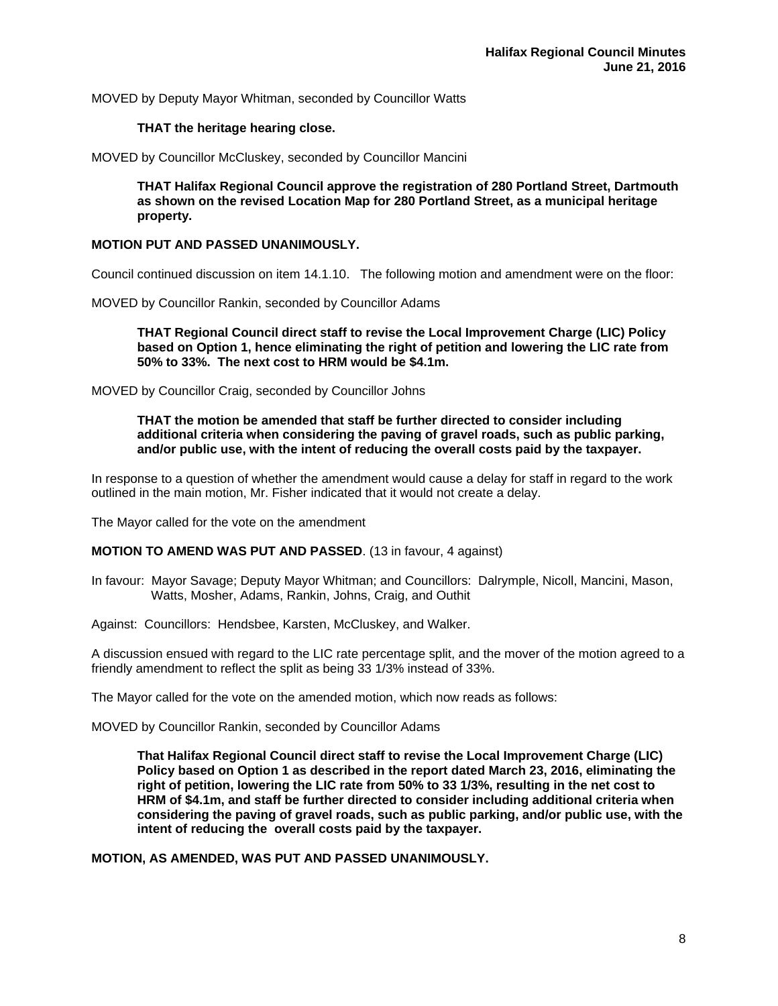MOVED by Deputy Mayor Whitman, seconded by Councillor Watts

#### **THAT the heritage hearing close.**

MOVED by Councillor McCluskey, seconded by Councillor Mancini

**THAT Halifax Regional Council approve the registration of 280 Portland Street, Dartmouth as shown on the revised Location Map for 280 Portland Street, as a municipal heritage property.** 

#### **MOTION PUT AND PASSED UNANIMOUSLY.**

Council continued discussion on item 14.1.10. The following motion and amendment were on the floor:

MOVED by Councillor Rankin, seconded by Councillor Adams

**THAT Regional Council direct staff to revise the Local Improvement Charge (LIC) Policy based on Option 1, hence eliminating the right of petition and lowering the LIC rate from 50% to 33%. The next cost to HRM would be \$4.1m.** 

MOVED by Councillor Craig, seconded by Councillor Johns

**THAT the motion be amended that staff be further directed to consider including additional criteria when considering the paving of gravel roads, such as public parking, and/or public use, with the intent of reducing the overall costs paid by the taxpayer.** 

In response to a question of whether the amendment would cause a delay for staff in regard to the work outlined in the main motion, Mr. Fisher indicated that it would not create a delay.

The Mayor called for the vote on the amendment

## **MOTION TO AMEND WAS PUT AND PASSED**. (13 in favour, 4 against)

In favour: Mayor Savage; Deputy Mayor Whitman; and Councillors: Dalrymple, Nicoll, Mancini, Mason, Watts, Mosher, Adams, Rankin, Johns, Craig, and Outhit

Against: Councillors: Hendsbee, Karsten, McCluskey, and Walker.

A discussion ensued with regard to the LIC rate percentage split, and the mover of the motion agreed to a friendly amendment to reflect the split as being 33 1/3% instead of 33%.

The Mayor called for the vote on the amended motion, which now reads as follows:

MOVED by Councillor Rankin, seconded by Councillor Adams

**That Halifax Regional Council direct staff to revise the Local Improvement Charge (LIC) Policy based on Option 1 as described in the report dated March 23, 2016, eliminating the right of petition, lowering the LIC rate from 50% to 33 1/3%, resulting in the net cost to HRM of \$4.1m, and staff be further directed to consider including additional criteria when considering the paving of gravel roads, such as public parking, and/or public use, with the intent of reducing the overall costs paid by the taxpayer.** 

**MOTION, AS AMENDED, WAS PUT AND PASSED UNANIMOUSLY.**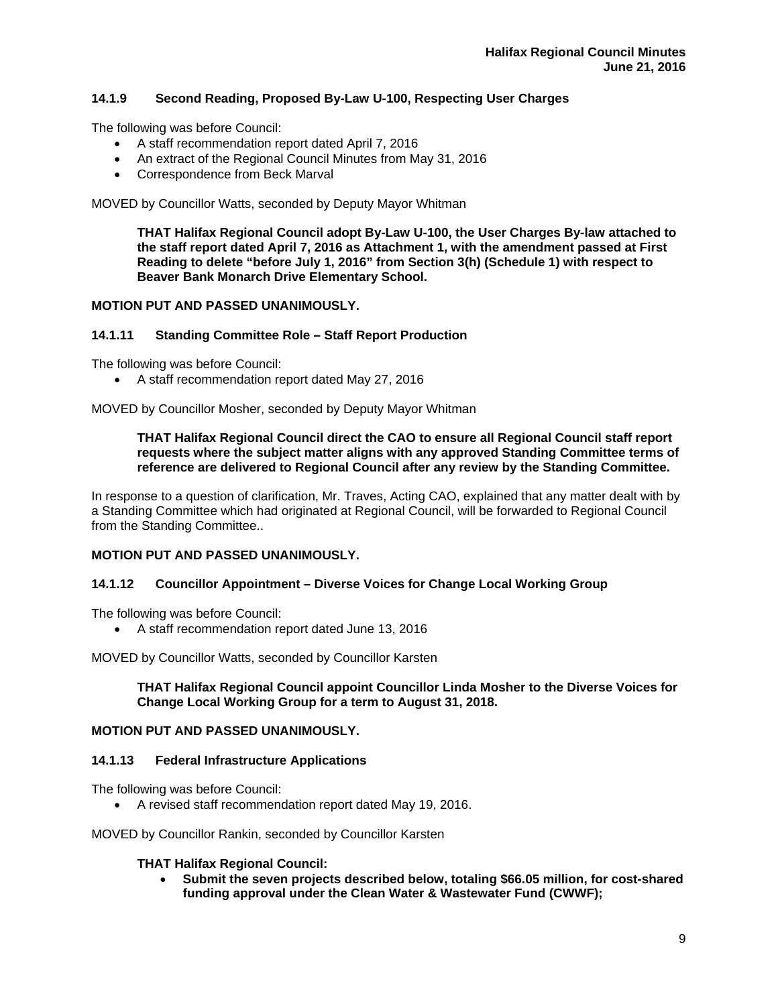# **14.1.9 Second Reading, Proposed By-Law U-100, Respecting User Charges**

The following was before Council:

- A staff recommendation report dated April 7, 2016
- An extract of the Regional Council Minutes from May 31, 2016
- Correspondence from Beck Marval

MOVED by Councillor Watts, seconded by Deputy Mayor Whitman

**THAT Halifax Regional Council adopt By-Law U-100, the User Charges By-law attached to the staff report dated April 7, 2016 as Attachment 1, with the amendment passed at First Reading to delete "before July 1, 2016" from Section 3(h) (Schedule 1) with respect to Beaver Bank Monarch Drive Elementary School.** 

## **MOTION PUT AND PASSED UNANIMOUSLY.**

# **14.1.11 Standing Committee Role – Staff Report Production**

The following was before Council:

A staff recommendation report dated May 27, 2016

MOVED by Councillor Mosher, seconded by Deputy Mayor Whitman

#### **THAT Halifax Regional Council direct the CAO to ensure all Regional Council staff report requests where the subject matter aligns with any approved Standing Committee terms of reference are delivered to Regional Council after any review by the Standing Committee.**

In response to a question of clarification, Mr. Traves, Acting CAO, explained that any matter dealt with by a Standing Committee which had originated at Regional Council, will be forwarded to Regional Council from the Standing Committee..

## **MOTION PUT AND PASSED UNANIMOUSLY.**

## **14.1.12 Councillor Appointment – Diverse Voices for Change Local Working Group**

The following was before Council:

A staff recommendation report dated June 13, 2016

MOVED by Councillor Watts, seconded by Councillor Karsten

## **THAT Halifax Regional Council appoint Councillor Linda Mosher to the Diverse Voices for Change Local Working Group for a term to August 31, 2018.**

# **MOTION PUT AND PASSED UNANIMOUSLY.**

## **14.1.13 Federal Infrastructure Applications**

The following was before Council:

A revised staff recommendation report dated May 19, 2016.

MOVED by Councillor Rankin, seconded by Councillor Karsten

## **THAT Halifax Regional Council:**

 **Submit the seven projects described below, totaling \$66.05 million, for cost-shared funding approval under the Clean Water & Wastewater Fund (CWWF);**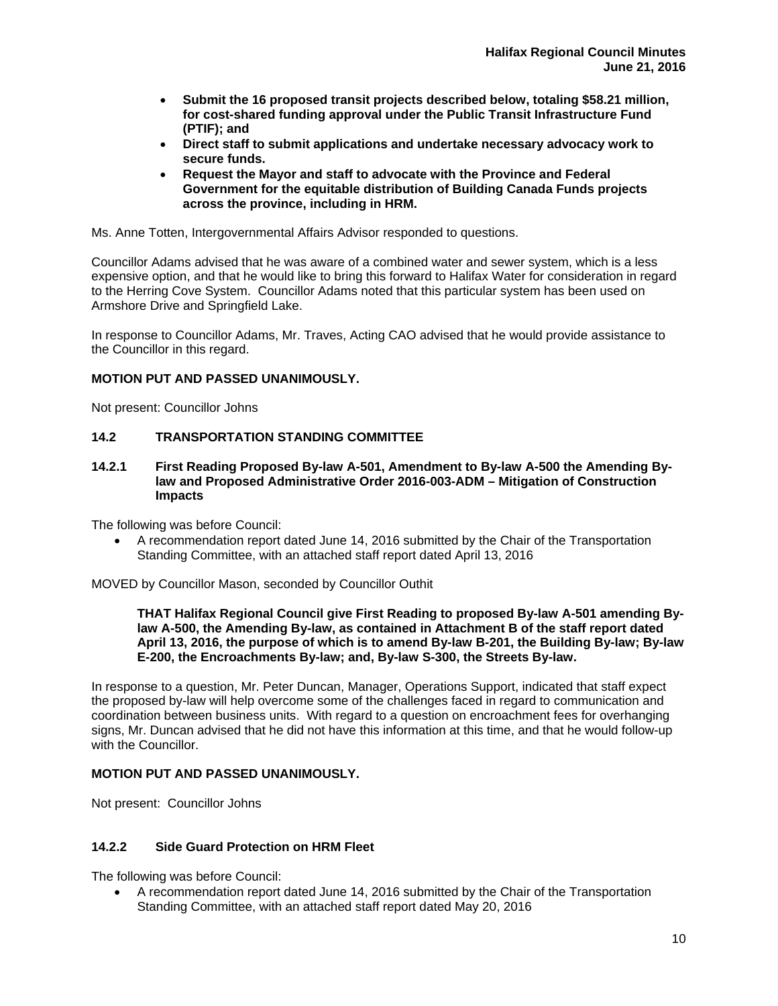- **Submit the 16 proposed transit projects described below, totaling \$58.21 million, for cost-shared funding approval under the Public Transit Infrastructure Fund (PTIF); and**
- **Direct staff to submit applications and undertake necessary advocacy work to secure funds.**
- **Request the Mayor and staff to advocate with the Province and Federal Government for the equitable distribution of Building Canada Funds projects across the province, including in HRM.**

Ms. Anne Totten, Intergovernmental Affairs Advisor responded to questions.

Councillor Adams advised that he was aware of a combined water and sewer system, which is a less expensive option, and that he would like to bring this forward to Halifax Water for consideration in regard to the Herring Cove System. Councillor Adams noted that this particular system has been used on Armshore Drive and Springfield Lake.

In response to Councillor Adams, Mr. Traves, Acting CAO advised that he would provide assistance to the Councillor in this regard.

## **MOTION PUT AND PASSED UNANIMOUSLY.**

Not present: Councillor Johns

## **14.2 TRANSPORTATION STANDING COMMITTEE**

**14.2.1 First Reading Proposed By-law A-501, Amendment to By-law A-500 the Amending Bylaw and Proposed Administrative Order 2016-003-ADM – Mitigation of Construction Impacts** 

The following was before Council:

 A recommendation report dated June 14, 2016 submitted by the Chair of the Transportation Standing Committee, with an attached staff report dated April 13, 2016

MOVED by Councillor Mason, seconded by Councillor Outhit

**THAT Halifax Regional Council give First Reading to proposed By-law A-501 amending Bylaw A-500, the Amending By-law, as contained in Attachment B of the staff report dated April 13, 2016, the purpose of which is to amend By-law B-201, the Building By-law; By-law E-200, the Encroachments By-law; and, By-law S-300, the Streets By-law.** 

In response to a question, Mr. Peter Duncan, Manager, Operations Support, indicated that staff expect the proposed by-law will help overcome some of the challenges faced in regard to communication and coordination between business units. With regard to a question on encroachment fees for overhanging signs, Mr. Duncan advised that he did not have this information at this time, and that he would follow-up with the Councillor.

## **MOTION PUT AND PASSED UNANIMOUSLY.**

Not present: Councillor Johns

## **14.2.2 Side Guard Protection on HRM Fleet**

The following was before Council:

 A recommendation report dated June 14, 2016 submitted by the Chair of the Transportation Standing Committee, with an attached staff report dated May 20, 2016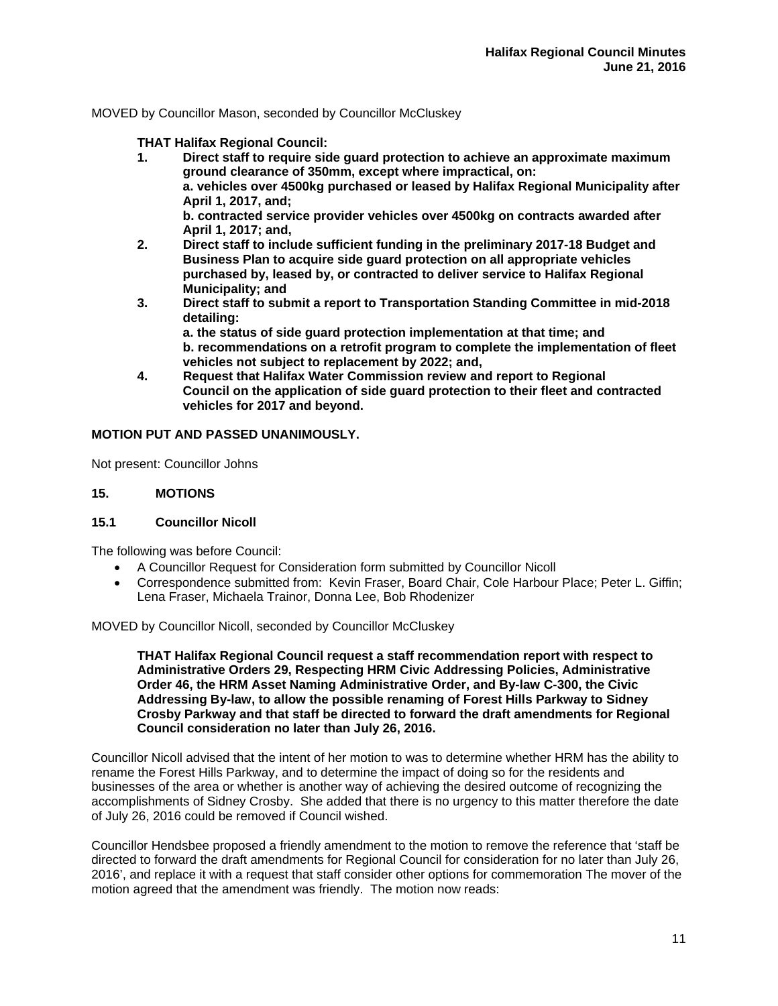MOVED by Councillor Mason, seconded by Councillor McCluskey

**THAT Halifax Regional Council:** 

- **1. Direct staff to require side guard protection to achieve an approximate maximum ground clearance of 350mm, except where impractical, on: a. vehicles over 4500kg purchased or leased by Halifax Regional Municipality after April 1, 2017, and; b. contracted service provider vehicles over 4500kg on contracts awarded after April 1, 2017; and,**
- **2. Direct staff to include sufficient funding in the preliminary 2017-18 Budget and Business Plan to acquire side guard protection on all appropriate vehicles purchased by, leased by, or contracted to deliver service to Halifax Regional Municipality; and**
- **3. Direct staff to submit a report to Transportation Standing Committee in mid-2018 detailing:** 
	- **a. the status of side guard protection implementation at that time; and b. recommendations on a retrofit program to complete the implementation of fleet vehicles not subject to replacement by 2022; and,**
- **4. Request that Halifax Water Commission review and report to Regional Council on the application of side guard protection to their fleet and contracted vehicles for 2017 and beyond.**

## **MOTION PUT AND PASSED UNANIMOUSLY.**

Not present: Councillor Johns

## **15. MOTIONS**

## **15.1 Councillor Nicoll**

The following was before Council:

- A Councillor Request for Consideration form submitted by Councillor Nicoll
- Correspondence submitted from: Kevin Fraser, Board Chair, Cole Harbour Place; Peter L. Giffin; Lena Fraser, Michaela Trainor, Donna Lee, Bob Rhodenizer

MOVED by Councillor Nicoll, seconded by Councillor McCluskey

**THAT Halifax Regional Council request a staff recommendation report with respect to Administrative Orders 29, Respecting HRM Civic Addressing Policies, Administrative Order 46, the HRM Asset Naming Administrative Order, and By-law C-300, the Civic Addressing By-law, to allow the possible renaming of Forest Hills Parkway to Sidney Crosby Parkway and that staff be directed to forward the draft amendments for Regional Council consideration no later than July 26, 2016.** 

Councillor Nicoll advised that the intent of her motion to was to determine whether HRM has the ability to rename the Forest Hills Parkway, and to determine the impact of doing so for the residents and businesses of the area or whether is another way of achieving the desired outcome of recognizing the accomplishments of Sidney Crosby. She added that there is no urgency to this matter therefore the date of July 26, 2016 could be removed if Council wished.

Councillor Hendsbee proposed a friendly amendment to the motion to remove the reference that 'staff be directed to forward the draft amendments for Regional Council for consideration for no later than July 26, 2016', and replace it with a request that staff consider other options for commemoration The mover of the motion agreed that the amendment was friendly. The motion now reads: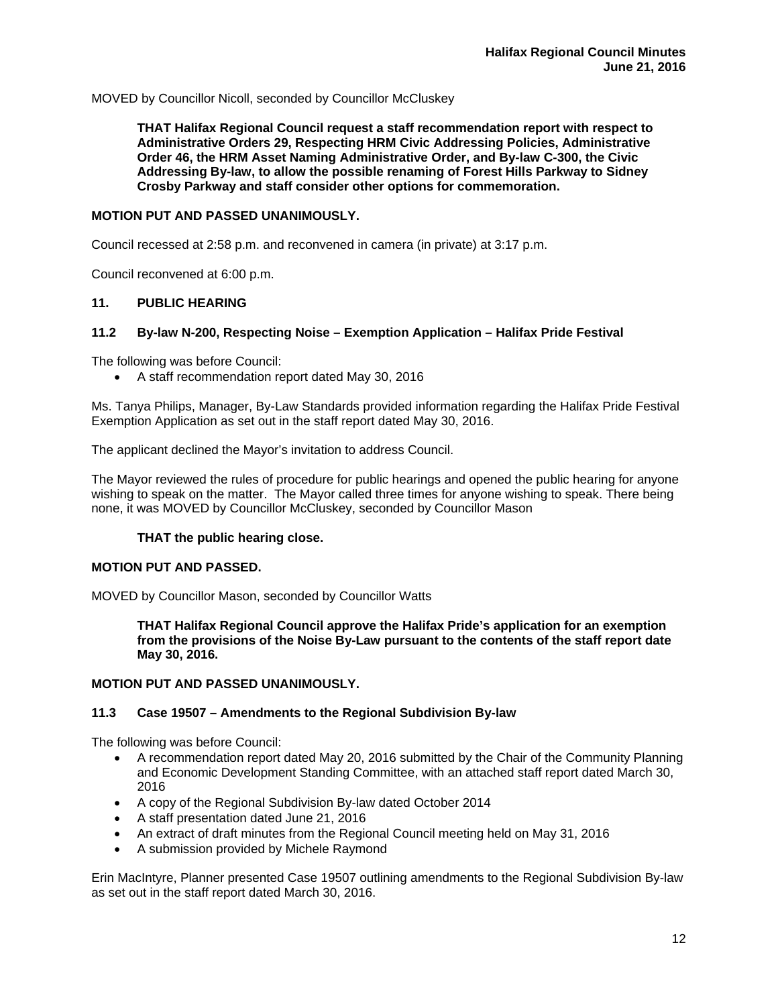MOVED by Councillor Nicoll, seconded by Councillor McCluskey

**THAT Halifax Regional Council request a staff recommendation report with respect to Administrative Orders 29, Respecting HRM Civic Addressing Policies, Administrative Order 46, the HRM Asset Naming Administrative Order, and By-law C-300, the Civic Addressing By-law, to allow the possible renaming of Forest Hills Parkway to Sidney Crosby Parkway and staff consider other options for commemoration.** 

#### **MOTION PUT AND PASSED UNANIMOUSLY.**

Council recessed at 2:58 p.m. and reconvened in camera (in private) at 3:17 p.m.

Council reconvened at 6:00 p.m.

## **11. PUBLIC HEARING**

#### **11.2 By-law N-200, Respecting Noise – Exemption Application – Halifax Pride Festival**

The following was before Council:

A staff recommendation report dated May 30, 2016

Ms. Tanya Philips, Manager, By-Law Standards provided information regarding the Halifax Pride Festival Exemption Application as set out in the staff report dated May 30, 2016.

The applicant declined the Mayor's invitation to address Council.

The Mayor reviewed the rules of procedure for public hearings and opened the public hearing for anyone wishing to speak on the matter. The Mayor called three times for anyone wishing to speak. There being none, it was MOVED by Councillor McCluskey, seconded by Councillor Mason

## **THAT the public hearing close.**

#### **MOTION PUT AND PASSED.**

MOVED by Councillor Mason, seconded by Councillor Watts

**THAT Halifax Regional Council approve the Halifax Pride's application for an exemption from the provisions of the Noise By-Law pursuant to the contents of the staff report date May 30, 2016.** 

## **MOTION PUT AND PASSED UNANIMOUSLY.**

#### **11.3 Case 19507 – Amendments to the Regional Subdivision By-law**

The following was before Council:

- A recommendation report dated May 20, 2016 submitted by the Chair of the Community Planning and Economic Development Standing Committee, with an attached staff report dated March 30, 2016
- A copy of the Regional Subdivision By-law dated October 2014
- A staff presentation dated June 21, 2016
- An extract of draft minutes from the Regional Council meeting held on May 31, 2016
- A submission provided by Michele Raymond

Erin MacIntyre, Planner presented Case 19507 outlining amendments to the Regional Subdivision By-law as set out in the staff report dated March 30, 2016.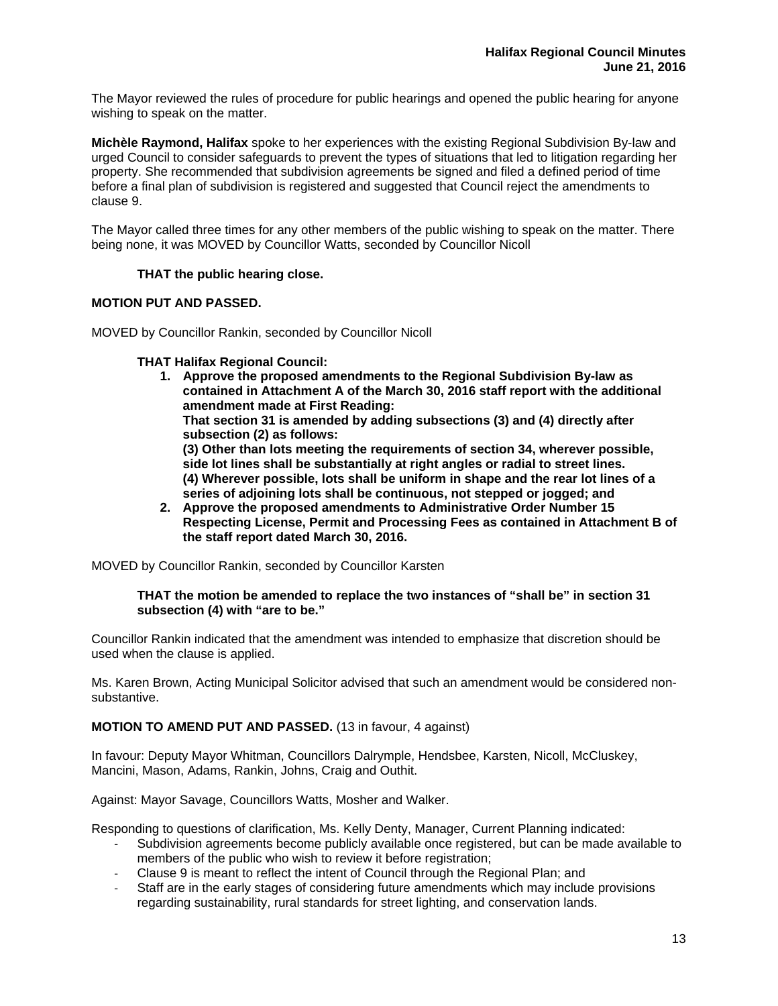The Mayor reviewed the rules of procedure for public hearings and opened the public hearing for anyone wishing to speak on the matter.

**Michèle Raymond, Halifax** spoke to her experiences with the existing Regional Subdivision By-law and urged Council to consider safeguards to prevent the types of situations that led to litigation regarding her property. She recommended that subdivision agreements be signed and filed a defined period of time before a final plan of subdivision is registered and suggested that Council reject the amendments to clause 9.

The Mayor called three times for any other members of the public wishing to speak on the matter. There being none, it was MOVED by Councillor Watts, seconded by Councillor Nicoll

## **THAT the public hearing close.**

## **MOTION PUT AND PASSED.**

MOVED by Councillor Rankin, seconded by Councillor Nicoll

## **THAT Halifax Regional Council:**

**1. Approve the proposed amendments to the Regional Subdivision By-law as contained in Attachment A of the March 30, 2016 staff report with the additional amendment made at First Reading:** 

**That section 31 is amended by adding subsections (3) and (4) directly after subsection (2) as follows:** 

**(3) Other than lots meeting the requirements of section 34, wherever possible, side lot lines shall be substantially at right angles or radial to street lines. (4) Wherever possible, lots shall be uniform in shape and the rear lot lines of a series of adjoining lots shall be continuous, not stepped or jogged; and** 

**2. Approve the proposed amendments to Administrative Order Number 15 Respecting License, Permit and Processing Fees as contained in Attachment B of the staff report dated March 30, 2016.** 

MOVED by Councillor Rankin, seconded by Councillor Karsten

#### **THAT the motion be amended to replace the two instances of "shall be" in section 31 subsection (4) with "are to be."**

Councillor Rankin indicated that the amendment was intended to emphasize that discretion should be used when the clause is applied.

Ms. Karen Brown, Acting Municipal Solicitor advised that such an amendment would be considered nonsubstantive.

## **MOTION TO AMEND PUT AND PASSED.** (13 in favour, 4 against)

In favour: Deputy Mayor Whitman, Councillors Dalrymple, Hendsbee, Karsten, Nicoll, McCluskey, Mancini, Mason, Adams, Rankin, Johns, Craig and Outhit.

Against: Mayor Savage, Councillors Watts, Mosher and Walker.

Responding to questions of clarification, Ms. Kelly Denty, Manager, Current Planning indicated:

- Subdivision agreements become publicly available once registered, but can be made available to members of the public who wish to review it before registration;
- ‐ Clause 9 is meant to reflect the intent of Council through the Regional Plan; and
- Staff are in the early stages of considering future amendments which may include provisions regarding sustainability, rural standards for street lighting, and conservation lands.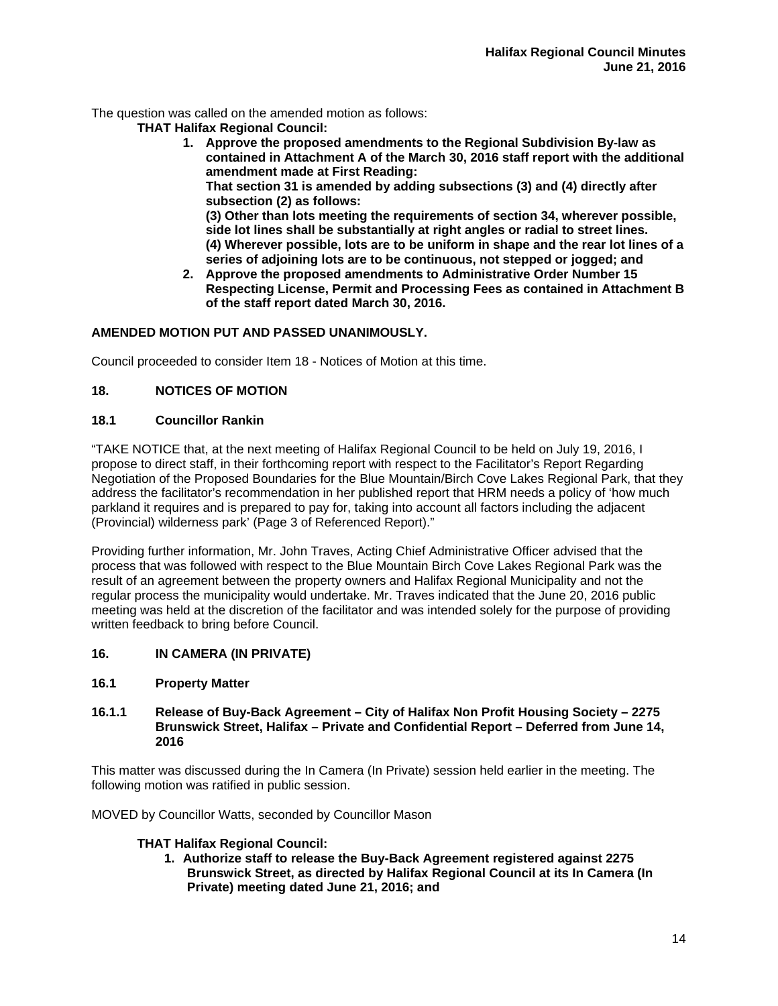The question was called on the amended motion as follows:

**THAT Halifax Regional Council:** 

**1. Approve the proposed amendments to the Regional Subdivision By-law as contained in Attachment A of the March 30, 2016 staff report with the additional amendment made at First Reading:** 

**That section 31 is amended by adding subsections (3) and (4) directly after subsection (2) as follows:** 

**(3) Other than lots meeting the requirements of section 34, wherever possible, side lot lines shall be substantially at right angles or radial to street lines. (4) Wherever possible, lots are to be uniform in shape and the rear lot lines of a series of adjoining lots are to be continuous, not stepped or jogged; and** 

**2. Approve the proposed amendments to Administrative Order Number 15 Respecting License, Permit and Processing Fees as contained in Attachment B of the staff report dated March 30, 2016.** 

# **AMENDED MOTION PUT AND PASSED UNANIMOUSLY.**

Council proceeded to consider Item 18 - Notices of Motion at this time.

# **18. NOTICES OF MOTION**

## **18.1 Councillor Rankin**

"TAKE NOTICE that, at the next meeting of Halifax Regional Council to be held on July 19, 2016, I propose to direct staff, in their forthcoming report with respect to the Facilitator's Report Regarding Negotiation of the Proposed Boundaries for the Blue Mountain/Birch Cove Lakes Regional Park, that they address the facilitator's recommendation in her published report that HRM needs a policy of 'how much parkland it requires and is prepared to pay for, taking into account all factors including the adjacent (Provincial) wilderness park' (Page 3 of Referenced Report)."

Providing further information, Mr. John Traves, Acting Chief Administrative Officer advised that the process that was followed with respect to the Blue Mountain Birch Cove Lakes Regional Park was the result of an agreement between the property owners and Halifax Regional Municipality and not the regular process the municipality would undertake. Mr. Traves indicated that the June 20, 2016 public meeting was held at the discretion of the facilitator and was intended solely for the purpose of providing written feedback to bring before Council.

## **16. IN CAMERA (IN PRIVATE)**

## **16.1 Property Matter**

## **16.1.1 Release of Buy-Back Agreement – City of Halifax Non Profit Housing Society – 2275 Brunswick Street, Halifax – Private and Confidential Report – Deferred from June 14, 2016**

This matter was discussed during the In Camera (In Private) session held earlier in the meeting. The following motion was ratified in public session.

MOVED by Councillor Watts, seconded by Councillor Mason

## **THAT Halifax Regional Council:**

**1. Authorize staff to release the Buy-Back Agreement registered against 2275 Brunswick Street, as directed by Halifax Regional Council at its In Camera (In Private) meeting dated June 21, 2016; and**